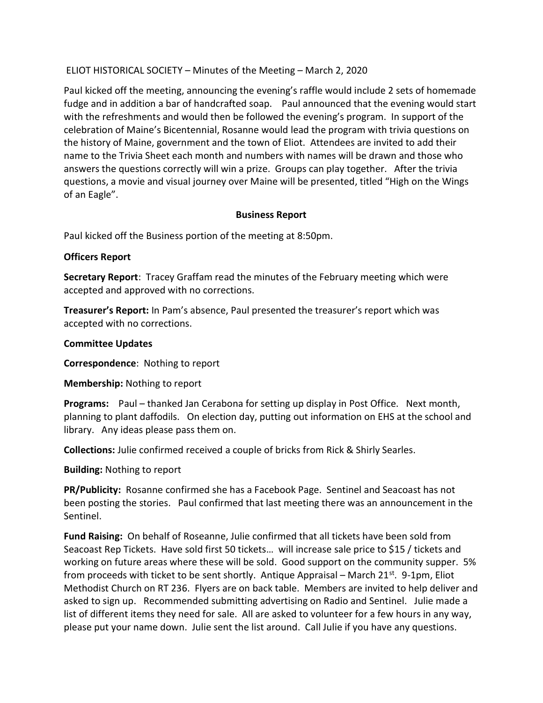# ELIOT HISTORICAL SOCIETY – Minutes of the Meeting – March 2, 2020

Paul kicked off the meeting, announcing the evening's raffle would include 2 sets of homemade fudge and in addition a bar of handcrafted soap. Paul announced that the evening would start with the refreshments and would then be followed the evening's program. In support of the celebration of Maine's Bicentennial, Rosanne would lead the program with trivia questions on the history of Maine, government and the town of Eliot. Attendees are invited to add their name to the Trivia Sheet each month and numbers with names will be drawn and those who answers the questions correctly will win a prize. Groups can play together. After the trivia questions, a movie and visual journey over Maine will be presented, titled "High on the Wings of an Eagle".

## Business Report

Paul kicked off the Business portion of the meeting at 8:50pm.

### Officers Report

Secretary Report: Tracey Graffam read the minutes of the February meeting which were accepted and approved with no corrections.

Treasurer's Report: In Pam's absence, Paul presented the treasurer's report which was accepted with no corrections.

### Committee Updates

Correspondence: Nothing to report

Membership: Nothing to report

Programs: Paul – thanked Jan Cerabona for setting up display in Post Office. Next month, planning to plant daffodils. On election day, putting out information on EHS at the school and library. Any ideas please pass them on.

Collections: Julie confirmed received a couple of bricks from Rick & Shirly Searles.

Building: Nothing to report

PR/Publicity: Rosanne confirmed she has a Facebook Page. Sentinel and Seacoast has not been posting the stories. Paul confirmed that last meeting there was an announcement in the Sentinel.

Fund Raising: On behalf of Roseanne, Julie confirmed that all tickets have been sold from Seacoast Rep Tickets. Have sold first 50 tickets… will increase sale price to \$15 / tickets and working on future areas where these will be sold. Good support on the community supper. 5% from proceeds with ticket to be sent shortly. Antique Appraisal – March  $21^{st}$ . 9-1pm, Eliot Methodist Church on RT 236. Flyers are on back table. Members are invited to help deliver and asked to sign up. Recommended submitting advertising on Radio and Sentinel. Julie made a list of different items they need for sale. All are asked to volunteer for a few hours in any way, please put your name down. Julie sent the list around. Call Julie if you have any questions.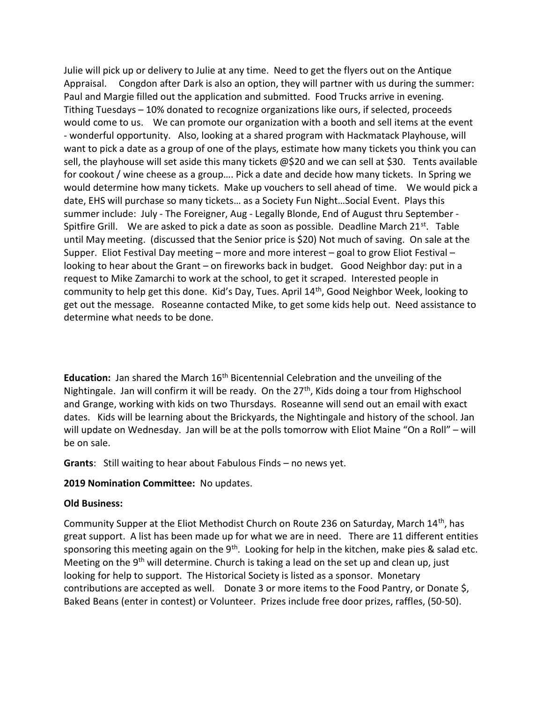Julie will pick up or delivery to Julie at any time. Need to get the flyers out on the Antique Appraisal. Congdon after Dark is also an option, they will partner with us during the summer: Paul and Margie filled out the application and submitted. Food Trucks arrive in evening. Tithing Tuesdays – 10% donated to recognize organizations like ours, if selected, proceeds would come to us. We can promote our organization with a booth and sell items at the event - wonderful opportunity. Also, looking at a shared program with Hackmatack Playhouse, will want to pick a date as a group of one of the plays, estimate how many tickets you think you can sell, the playhouse will set aside this many tickets @\$20 and we can sell at \$30. Tents available for cookout / wine cheese as a group…. Pick a date and decide how many tickets. In Spring we would determine how many tickets. Make up vouchers to sell ahead of time. We would pick a date, EHS will purchase so many tickets… as a Society Fun Night…Social Event. Plays this summer include: July - The Foreigner, Aug - Legally Blonde, End of August thru September - Spitfire Grill. We are asked to pick a date as soon as possible. Deadline March  $21^{st}$ . Table until May meeting. (discussed that the Senior price is \$20) Not much of saving. On sale at the Supper. Eliot Festival Day meeting – more and more interest – goal to grow Eliot Festival – looking to hear about the Grant – on fireworks back in budget. Good Neighbor day: put in a request to Mike Zamarchi to work at the school, to get it scraped. Interested people in community to help get this done. Kid's Day, Tues. April 14th, Good Neighbor Week, looking to get out the message. Roseanne contacted Mike, to get some kids help out. Need assistance to determine what needs to be done.

**Education:** Jan shared the March  $16<sup>th</sup>$  Bicentennial Celebration and the unveiling of the Nightingale. Jan will confirm it will be ready. On the  $27<sup>th</sup>$ , Kids doing a tour from Highschool and Grange, working with kids on two Thursdays. Roseanne will send out an email with exact dates. Kids will be learning about the Brickyards, the Nightingale and history of the school. Jan will update on Wednesday. Jan will be at the polls tomorrow with Eliot Maine "On a Roll" – will be on sale.

Grants: Still waiting to hear about Fabulous Finds – no news yet.

### 2019 Nomination Committee: No updates.

### Old Business:

Community Supper at the Eliot Methodist Church on Route 236 on Saturday, March 14<sup>th</sup>, has great support. A list has been made up for what we are in need. There are 11 different entities sponsoring this meeting again on the  $9<sup>th</sup>$ . Looking for help in the kitchen, make pies & salad etc. Meeting on the  $9<sup>th</sup>$  will determine. Church is taking a lead on the set up and clean up, just looking for help to support. The Historical Society is listed as a sponsor. Monetary contributions are accepted as well. Donate 3 or more items to the Food Pantry, or Donate \$, Baked Beans (enter in contest) or Volunteer. Prizes include free door prizes, raffles, (50-50).